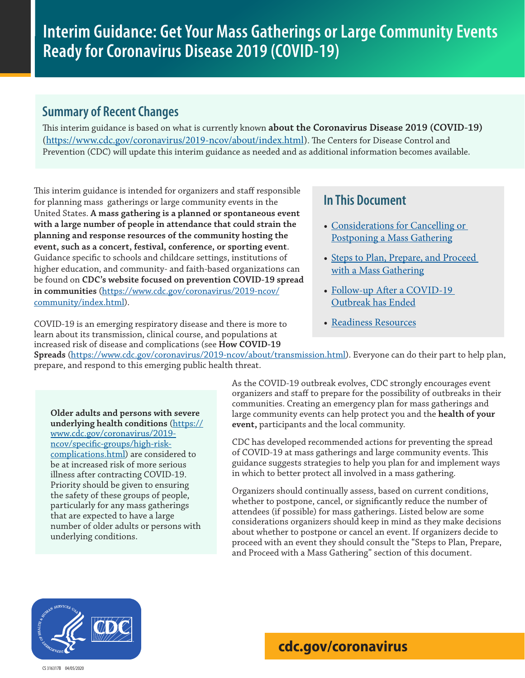### **Summary of Recent Changes**

This interim guidance is based on what is currently known **[about the Coronavirus Disease 2019 \(COVID-19\)](https://www.cdc.gov/coronavirus/2019-ncov/about/index.html)** (https://www.cdc.gov/coronavirus/2019-ncov/about/index.html). The Centers for Disease Control and Prevention (CDC) will update this interim guidance as needed and as additional information becomes available.

This interim guidance is intended for organizers and staff responsible for planning mass gatherings or large community events in the United States. **A mass gathering is a planned or spontaneous event with a large number of people in attendance that could strain the planning and response resources of the community hosting the event, such as a concert, festival, conference, or sporting event**. Guidance specific to schools and childcare settings, institutions of higher education, and community- and faith-based organizations can be found on **[CDC's website focused on prevention COVID-19 spread](https://www.cdc.gov/coronavirus/2019-ncov/community/index.html?CDC_AA_refVal=https%3A%2F%2Fwww.cdc.gov%2Fcoronavirus%2F2019-ncov%2Fpreparing-individuals-communities.html)  [in communities](https://www.cdc.gov/coronavirus/2019-ncov/community/index.html?CDC_AA_refVal=https%3A%2F%2Fwww.cdc.gov%2Fcoronavirus%2F2019-ncov%2Fpreparing-individuals-communities.html)** ([https://www.cdc.gov/coronavirus/2019-ncov/](https://www.cdc.gov/coronavirus/2019-ncov/community/index.html) [community/index.html](https://www.cdc.gov/coronavirus/2019-ncov/community/index.html)).

COVID-19 is an emerging respiratory disease and there is more to learn about its transmission, clinical course, and populations at increased risk of disease and complications (see **[How COVID-19](https://www.cdc.gov/coronavirus/2019-ncov/about/transmission.html)** 

### **In This Document**

- [Considerations for Cancelling or](#page-1-0)  [Postponing a Mass Gathering](#page-1-0)
- Steps to Plan, Prepare, and Proceed [with a Mass Gathering](#page-1-1)
- Follow-up After a COVID-19 [Outbreak has Ended](#page-4-0)
- [Readiness Resources](#page-4-1)

**[Spreads](https://www.cdc.gov/coronavirus/2019-ncov/about/transmission.html)** (https://www.cdc.gov/coronavirus/2019-ncov/about/transmission.html). Everyone can do their part to help plan, prepare, and respond to this emerging public health threat.

**[Older adults and persons with severe](https://www.cdc.gov/coronavirus/2019-ncov/specific-groups/high-risk-complications.html)  [underlying health conditions](https://www.cdc.gov/coronavirus/2019-ncov/specific-groups/high-risk-complications.html)** ([https://](https://www.cdc.gov/coronavirus/2019-ncov/specific-groups/high-risk-complications.html) [www.cdc.gov/coronavirus/2019](https://www.cdc.gov/coronavirus/2019-ncov/specific-groups/high-risk-complications.html) [ncov/specific-groups/high-risk](https://www.cdc.gov/coronavirus/2019-ncov/specific-groups/high-risk-complications.html)[complications.html](https://www.cdc.gov/coronavirus/2019-ncov/specific-groups/high-risk-complications.html)) are considered to be at increased risk of more serious illness after contracting COVID-19. Priority should be given to ensuring the safety of these groups of people, particularly for any mass gatherings that are expected to have a large number of older adults or persons with underlying conditions.

As the COVID-19 outbreak evolves, CDC strongly encourages event organizers and staff to prepare for the possibility of outbreaks in their communities. Creating an emergency plan for mass gatherings and large community events can help protect you and the **health of your event,** participants and the local community.

CDC has developed recommended actions for preventing the spread of COVID-19 at mass gatherings and large community events. This guidance suggests strategies to help you plan for and implement ways in which to better protect all involved in a mass gathering.

Organizers should continually assess, based on current conditions, whether to postpone, cancel, or significantly reduce the number of attendees (if possible) for mass gatherings. Listed below are some considerations organizers should keep in mind as they make decisions about whether to postpone or cancel an event. If organizers decide to proceed with an event they should consult the "Steps to Plan, Prepare, and Proceed with a Mass Gathering" section of this document.

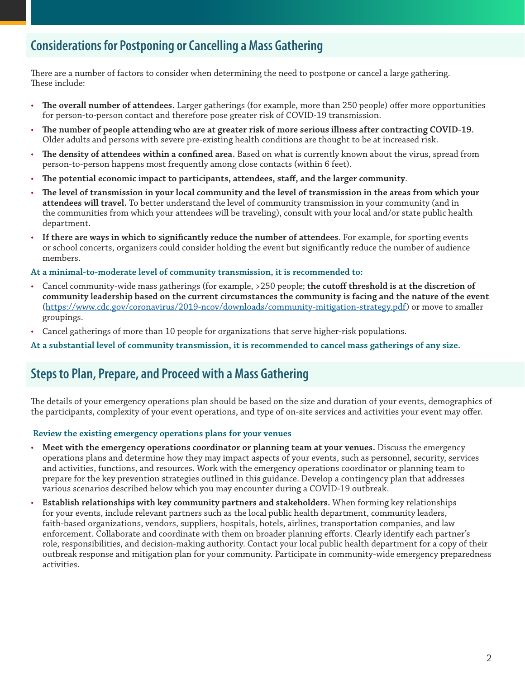### <span id="page-1-0"></span>**Considerations for Postponing or Cancelling a Mass Gathering**

There are a number of factors to consider when determining the need to postpone or cancel a large gathering. These include:

- **The overall number of attendees.** Larger gatherings (for example, more than 250 people) offer more opportunities for person-to-person contact and therefore pose greater risk of COVID-19 transmission.
- **The number of people attending who are at greater risk of more serious illness after contracting COVID-19.**  Older adults and persons with severe pre-existing health conditions are thought to be at increased risk.
- **The density of attendees within a confined area.** Based on what is currently known about the virus, spread from person-to-person happens most frequently among close contacts (within 6 feet).
- **The potential economic impact to participants, attendees, staff, and the larger community**.
- **The level of transmission in your local community and the level of transmission in the areas from which your attendees will travel.** To better understand the level of community transmission in your community (and in the communities from which your attendees will be traveling), consult with your local and/or state public health department.
- **If there are ways in which to significantly reduce the number of attendees**. For example, for sporting events or school concerts, organizers could consider holding the event but significantly reduce the number of audience members.

### **At a minimal-to-moderate level of community transmission, it is recommended to:**

- Cancel community-wide mass gatherings (for example, >250 people; **the cutoff threshold is at the discretion of community leadership based on [the current circumstances the community is facing and the nature of the event](file:https://www.cdc.gov/coronavirus/2019-ncov/downloads/community-mitigation-strategy.pdf)** [\(https://www.cdc.gov/coronavirus/2019-ncov/downloads/community-mitigation-strategy.pdf](https://www.cdc.gov/coronavirus/2019-ncov/downloads/community-mitigation-strategy.pdf)) or move to smaller groupings.
- Cancel gatherings of more than 10 people for organizations that serve higher-risk populations.

**At a substantial level of community transmission, it is recommended to cancel mass gatherings of any size.**

### <span id="page-1-1"></span>**Steps to Plan, Prepare, and Proceed with a Mass Gathering**

The details of your emergency operations plan should be based on the size and duration of your events, demographics of the participants, complexity of your event operations, and type of on-site services and activities your event may offer.

### **Review the existing emergency operations plans for your venues**

- **Meet with the emergency operations coordinator or planning team at your venues.** Discuss the emergency operations plans and determine how they may impact aspects of your events, such as personnel, security, services and activities, functions, and resources. Work with the emergency operations coordinator or planning team to prepare for the key prevention strategies outlined in this guidance. Develop a contingency plan that addresses various scenarios described below which you may encounter during a COVID-19 outbreak.
- **Establish relationships with key community partners and stakeholders.** When forming key relationships for your events, include relevant partners such as the local public health department, community leaders, faith-based organizations, vendors, suppliers, hospitals, hotels, airlines, transportation companies, and law enforcement. Collaborate and coordinate with them on broader planning efforts. Clearly identify each partner's role, responsibilities, and decision-making authority. Contact your local public health department for a copy of their outbreak response and mitigation plan for your community. Participate in community-wide emergency preparedness activities.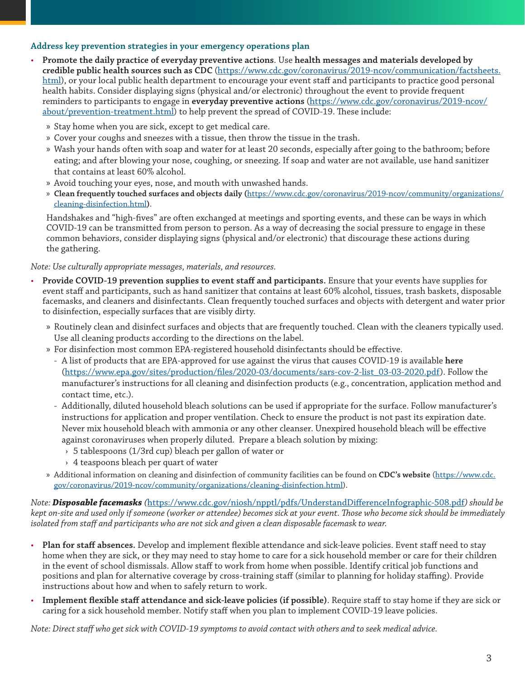### **Address key prevention strategies in your emergency operations plan**

- **Promote the daily practice of everyday preventive actions**. Use **[health messages and materials developed by](https://www.cdc.gov/coronavirus/2019-ncov/communication/factsheets.html)  [credible public health sources such as CDC](https://www.cdc.gov/coronavirus/2019-ncov/communication/factsheets.html)** (https://www.cdc.gov/coronavirus/2019-ncov/communication/factsheets. html), or your local public health department to encourage your event staff and participants to practice good personal health habits. Consider displaying signs (physical and/or electronic) throughout the event to provide frequent reminders to participants to engage in **[everyday preventive actions](https://www.cdc.gov/coronavirus/2019-ncov/about/prevention-treatment.html)** (https://www.cdc.gov/coronavirus/2019-ncov/ about/prevention-treatment.html) to help prevent the spread of COVID-19. These include:
	- » Stay home when you are sick, except to get medical care.
	- » Cover your coughs and sneezes with a tissue, then throw the tissue in the trash.
	- » Wash your hands often with soap and water for at least 20 seconds, especially after going to the bathroom; before eating; and after blowing your nose, coughing, or sneezing. If soap and water are not available, use hand sanitizer that contains at least 60% alcohol.
	- » Avoid touching your eyes, nose, and mouth with unwashed hands.
	- » **Clean frequently touched surfaces and objects daily (**[https://www.cdc.gov/coronavirus/2019-ncov/community/organizations/](https://www.cdc.gov/coronavirus/2019-ncov/community/organizations/cleaning-disinfection.html) [cleaning-disinfection.html](https://www.cdc.gov/coronavirus/2019-ncov/community/organizations/cleaning-disinfection.html)**)**.

Handshakes and "high-fives" are often exchanged at meetings and sporting events, and these can be ways in which COVID-19 can be transmitted from person to person. As a way of decreasing the social pressure to engage in these common behaviors, consider displaying signs (physical and/or electronic) that discourage these actions during the gathering.

*Note: Use culturally appropriate messages, materials, and resources.*

- **Provide COVID-19 prevention supplies to event staff and participants.** Ensure that your events have supplies for event staff and participants, such as hand sanitizer that contains at least 60% alcohol, tissues, trash baskets, disposable facemasks, and cleaners and disinfectants. Clean frequently touched surfaces and objects with detergent and water prior to disinfection, especially surfaces that are visibly dirty.
	- » Routinely clean and disinfect surfaces and objects that are frequently touched. Clean with the cleaners typically used. Use all cleaning products according to the directions on the label.
	- » For disinfection most common EPA-registered household disinfectants should be effective.
		- A list of products that are EPA-approved for use against the virus that causes COVID-19 is available **[here](https://www.epa.gov/sites/production/files/2020-03/documents/sars-cov-2-list_03-03-2020.pdf)** ([https://www.epa.gov/sites/production/files/2020-03/documents/sars-cov-2-list\\_03-03-2020.pdf](https://www.epa.gov/sites/production/files/2020-03/documents/sars-cov-2-list_03-03-2020.pdf)). Follow the manufacturer's instructions for all cleaning and disinfection products (e.g., concentration, application method and contact time, etc.).
		- Additionally, diluted household bleach solutions can be used if appropriate for the surface. Follow manufacturer's instructions for application and proper ventilation. Check to ensure the product is not past its expiration date. Never mix household bleach with ammonia or any other cleanser. Unexpired household bleach will be effective against coronaviruses when properly diluted. Prepare a bleach solution by mixing:
			- › 5 tablespoons (1/3rd cup) bleach per gallon of water or
			- › 4 teaspoons bleach per quart of water
	- » Additional information on cleaning and disinfection of community facilities can be found on **[CDC's website](https://www.cdc.gov/coronavirus/2019-ncov/community/organizations/cleaning-disinfection.html)** (https://www.cdc. gov/coronavirus/2019-ncov/community/organizations/cleaning-disinfection.html).

*Note: [Disposable facemasks](file:https://www.cdc.gov/niosh/npptl/pdfs/UnderstandDifferenceInfographic-508.pdf) (*<https://www.cdc.gov/niosh/npptl/pdfs/UnderstandDifferenceInfographic-508.pdf>*) should be kept on-site and used only if someone (worker or attendee) becomes sick at your event. Those who become sick should be immediately isolated from staff and participants who are not sick and given a clean disposable facemask to wear.*

- **Plan for staff absences.** Develop and implement flexible attendance and sick-leave policies. Event staff need to stay home when they are sick, or they may need to stay home to care for a sick household member or care for their children in the event of school dismissals. Allow staff to work from home when possible. Identify critical job functions and positions and plan for alternative coverage by cross-training staff (similar to planning for holiday staffing). Provide instructions about how and when to safely return to work.
- **Implement flexible staff attendance and sick-leave policies (if possible)**. Require staff to stay home if they are sick or caring for a sick household member. Notify staff when you plan to implement COVID-19 leave policies.

*Note: Direct staff who get sick with COVID-19 symptoms to avoid contact with others and to seek medical advice.*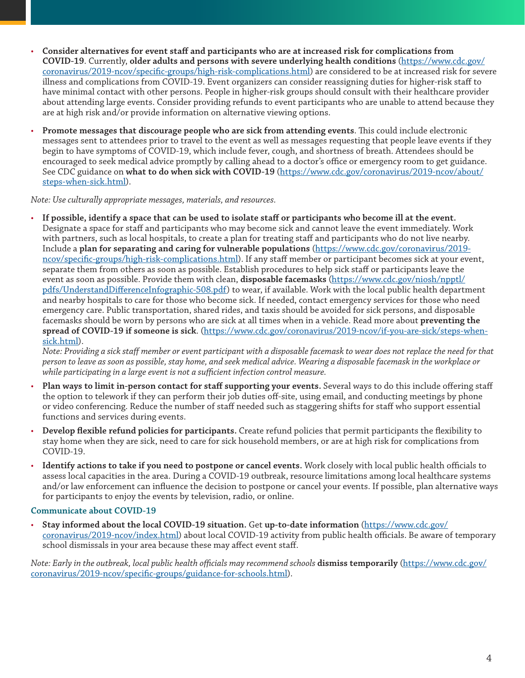- **Consider alternatives for event staff and participants who are at increased risk for complications from COVID-19**. Currently, **[older adults and persons with severe underlying health conditions](https://www.cdc.gov/coronavirus/2019-ncov/specific-groups/high-risk-complications.html)** [\(https://www.cdc.gov/](https://www.cdc.gov/coronavirus/2019-ncov/specific-groups/high-risk-complications.html) [coronavirus/2019-ncov/specific-groups/high-risk-complications.html\)](https://www.cdc.gov/coronavirus/2019-ncov/specific-groups/high-risk-complications.html) are considered to be at increased risk for severe illness and complications from COVID-19. Event organizers can consider reassigning duties for higher-risk staff to have minimal contact with other persons. People in higher-risk groups should consult with their healthcare provider about attending large events. Consider providing refunds to event participants who are unable to attend because they are at high risk and/or provide information on alternative viewing options.
- **Promote messages that discourage people who are sick from attending events**. This could include electronic messages sent to attendees prior to travel to the event as well as messages requesting that people leave events if they begin to have symptoms of COVID-19, which include fever, cough, and shortness of breath. Attendees should be encouraged to seek medical advice promptly by calling ahead to a doctor's office or emergency room to get guidance. See CDC guidance on **[what to do when sick with COVID-19](https://www.cdc.gov/coronavirus/2019-ncov/about/steps-when-sick.html)** ([https://www.cdc.gov/coronavirus/2019-ncov/about/](https://www.cdc.gov/coronavirus/2019-ncov/about/steps-when-sick.html) [steps-when-sick.html\)](https://www.cdc.gov/coronavirus/2019-ncov/about/steps-when-sick.html).

*Note: Use culturally appropriate messages, materials, and resources.*

• **If possible, identify a space that can be used to isolate staff or participants who become ill at the event.**  Designate a space for staff and participants who may become sick and cannot leave the event immediately. Work with partners, such as local hospitals, to create a plan for treating staff and participants who do not live nearby. Include a **[plan for separating and caring for vulnerable populations](https://www.cdc.gov/coronavirus/2019-ncov/specific-groups/high-risk-complications.html)** ([https://www.cdc.gov/coronavirus/2019](https://www.cdc.gov/coronavirus/2019-ncov/specific-groups/high-risk-complications.html) [ncov/specific-groups/high-risk-complications.html\)](https://www.cdc.gov/coronavirus/2019-ncov/specific-groups/high-risk-complications.html). If any staff member or participant becomes sick at your event, separate them from others as soon as possible. Establish procedures to help sick staff or participants leave the event as soon as possible. Provide them with clean, **[disposable facemasks](file:https://www.cdc.gov/niosh/npptl/pdfs/UnderstandDifferenceInfographic-508.pdf)** ([https://www.cdc.gov/niosh/npptl/](https://www.cdc.gov/niosh/npptl/pdfs/UnderstandDifferenceInfographic-508.pdf) [pdfs/UnderstandDifferenceInfographic-508.pdf\)](https://www.cdc.gov/niosh/npptl/pdfs/UnderstandDifferenceInfographic-508.pdf) to wear, if available. Work with the local public health department and nearby hospitals to care for those who become sick. If needed, contact emergency services for those who need emergency care. Public transportation, shared rides, and taxis should be avoided for sick persons, and disposable facemasks should be worn by persons who are sick at all times when in a vehicle. Read more about **[preventing the](https://www.cdc.gov/coronavirus/2019-ncov/about/steps-when-sick.html)  [spread of COVID-19 if someone is sick](https://www.cdc.gov/coronavirus/2019-ncov/about/steps-when-sick.html)**. ([https://www.cdc.gov/coronavirus/2019-ncov/if-you-are-sick/steps-when](https://www.cdc.gov/coronavirus/2019-ncov/if-you-are-sick/steps-when-sick.html)[sick.html](https://www.cdc.gov/coronavirus/2019-ncov/if-you-are-sick/steps-when-sick.html)).

*Note: Providing a sick staff member or event participant with a disposable facemask to wear does not replace the need for that person to leave as soon as possible, stay home, and seek medical advice. Wearing a disposable facemask in the workplace or while participating in a large event is not a sufficient infection control measure.* 

- **Plan ways to limit in-person contact for staff supporting your events.** Several ways to do this include offering staff the option to telework if they can perform their job duties off-site, using email, and conducting meetings by phone or video conferencing. Reduce the number of staff needed such as staggering shifts for staff who support essential functions and services during events.
- **Develop flexible refund policies for participants.** Create refund policies that permit participants the flexibility to stay home when they are sick, need to care for sick household members, or are at high risk for complications from COVID-19.
- **Identify actions to take if you need to postpone or cancel events.** Work closely with local public health officials to assess local capacities in the area. During a COVID-19 outbreak, resource limitations among local healthcare systems and/or law enforcement can influence the decision to postpone or cancel your events. If possible, plan alternative ways for participants to enjoy the events by television, radio, or online.

### **Communicate about COVID-19**

• **Stay informed about the local COVID-19 situation.** Get **[up-to-date information](https://www.cdc.gov/coronavirus/2019-ncov/index.html)** ([https://www.cdc.gov/](https://www.cdc.gov/coronavirus/2019-ncov/index.html) [coronavirus/2019-ncov/index.html](https://www.cdc.gov/coronavirus/2019-ncov/index.html)) about local COVID-19 activity from public health officials. Be aware of temporary school dismissals in your area because these may affect event staff.

*Note: Early in the outbreak, local public health officials may recommend schools* **[dismiss temporarily](https://www.cdc.gov/coronavirus/2019-ncov/specific-groups/guidance-for-schools.html)** [\(https://www.cdc.gov/](https://www.cdc.gov/coronavirus/2019-ncov/specific-groups/guidance-for-schools.html) [coronavirus/2019-ncov/specific-groups/guidance-for-schools.html](https://www.cdc.gov/coronavirus/2019-ncov/specific-groups/guidance-for-schools.html)).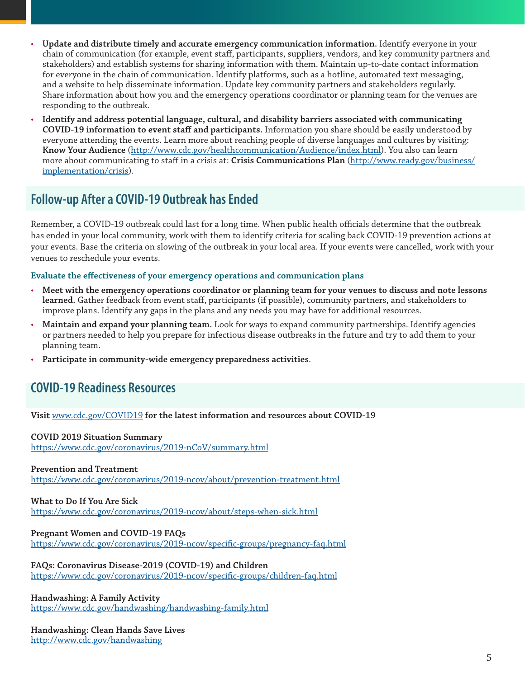- **Update and distribute timely and accurate emergency communication information.** Identify everyone in your chain of communication (for example, event staff, participants, suppliers, vendors, and key community partners and stakeholders) and establish systems for sharing information with them. Maintain up-to-date contact information for everyone in the chain of communication. Identify platforms, such as a hotline, automated text messaging, and a website to help disseminate information. Update key community partners and stakeholders regularly. Share information about how you and the emergency operations coordinator or planning team for the venues are responding to the outbreak.
- **Identify and address potential language, cultural, and disability barriers associated with communicating COVID-19 information to event staff and participants.** Information you share should be easily understood by everyone attending the events. Learn more about reaching people of diverse languages and cultures by visiting: **[Know Your Audience](http://www.cdc.gov/healthcommunication/Audience/index.html)** (<http://www.cdc.gov/healthcommunication/Audience/index.html>). You also can learn more about communicating to staff in a crisis at: **[Crisis Communications Plan](http://www.ready.gov/business/implementation/crisis)** ([http://www.ready.gov/business/](http://www.ready.gov/business/implementation/crisis) [implementation/crisis\)](http://www.ready.gov/business/implementation/crisis).

## <span id="page-4-0"></span>**Follow-up After a COVID-19 Outbreak has Ended**

Remember, a COVID-19 outbreak could last for a long time. When public health officials determine that the outbreak has ended in your local community, work with them to identify criteria for scaling back COVID-19 prevention actions at your events. Base the criteria on slowing of the outbreak in your local area. If your events were cancelled, work with your venues to reschedule your events.

### **Evaluate the effectiveness of your emergency operations and communication plans**

- **Meet with the emergency operations coordinator or planning team for your venues to discuss and note lessons learned.** Gather feedback from event staff, participants (if possible), community partners, and stakeholders to improve plans. Identify any gaps in the plans and any needs you may have for additional resources.
- **Maintain and expand your planning team.** Look for ways to expand community partnerships. Identify agencies or partners needed to help you prepare for infectious disease outbreaks in the future and try to add them to your planning team.
- **Participate in community-wide emergency preparedness activities**.

### <span id="page-4-1"></span>**COVID-19 Readiness Resources**

### **Visit** [www.cdc.gov/COVID19](http://www.cdc.gov/COVID19) **for the latest information and resources about COVID-19**

#### **COVID 2019 Situation Summary** <https://www.cdc.gov/coronavirus/2019-nCoV/summary.html>

### **Prevention and Treatment**

<https://www.cdc.gov/coronavirus/2019-ncov/about/prevention-treatment.html>

### **What to Do If You Are Sick**

<https://www.cdc.gov/coronavirus/2019-ncov/about/steps-when-sick.html>

### **Pregnant Women and COVID-19 FAQs**

<https://www.cdc.gov/coronavirus/2019-ncov/specific-groups/pregnancy-faq.html>

**FAQs: Coronavirus Disease-2019 (COVID-19) and Children** <https://www.cdc.gov/coronavirus/2019-ncov/specific-groups/children-faq.html>

**Handwashing: A Family Activity** <https://www.cdc.gov/handwashing/handwashing-family.html>

#### **Handwashing: Clean Hands Save Lives** <http://www.cdc.gov/handwashing>